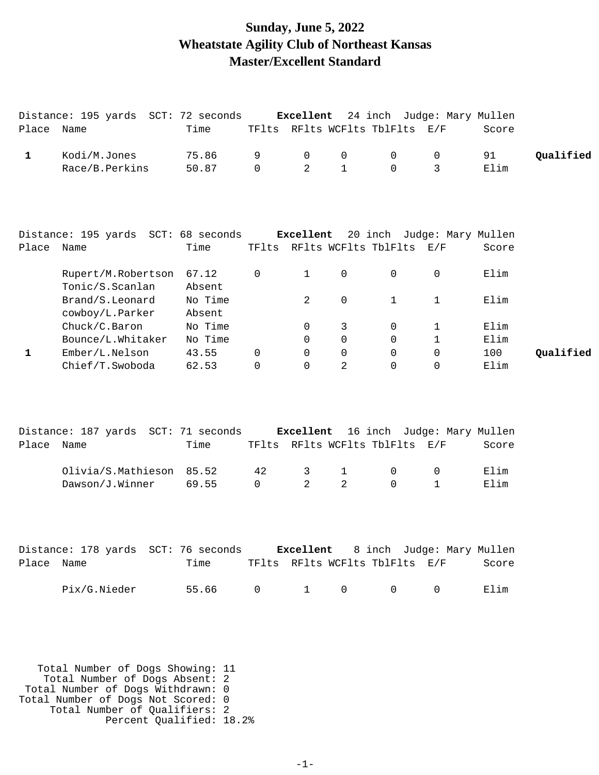### **Sunday, June 5, 2022 Wheatstate Agility Club of Northeast Kansas Master/Excellent Standard**

|              | Distance: 195 yards SCT: 72 seconds                                      |                   |              |              |              |                                |              | Excellent 24 inch Judge: Mary Mullen |           |
|--------------|--------------------------------------------------------------------------|-------------------|--------------|--------------|--------------|--------------------------------|--------------|--------------------------------------|-----------|
| Place Name   |                                                                          | Time              |              |              |              | TFlts RFlts WCFlts TblFlts E/F |              | Score                                |           |
| $\mathbf{1}$ | Kodi/M.Jones                                                             | 75.86             | 9            | 0            | 0            | 0                              | 0            | 91                                   | Qualified |
|              | Race/B.Perkins                                                           | 50.87             | $\mathsf{O}$ | 2            | $\mathbf{1}$ | $\mathbf 0$                    | 3            | Elim                                 |           |
|              |                                                                          |                   |              |              |              |                                |              |                                      |           |
|              | Distance: 195 yards SCT: 68 seconds Excellent 20 inch Judge: Mary Mullen |                   |              |              |              |                                |              |                                      |           |
| Place Name   |                                                                          | Time              |              |              |              | TFlts RFlts WCFlts TblFlts E/F |              | Score                                |           |
|              | Rupert/M.Robertson 67.12<br>Tonic/S.Scanlan                              | Absent            | 0            | $\mathbf{1}$ | $\mathsf{O}$ | 0                              | 0            | Elim                                 |           |
|              | Brand/S.Leonard<br>cowboy/L.Parker                                       | No Time<br>Absent |              | 2            | $\mathsf{O}$ | $\mathbf{1}$                   | $\mathbf 1$  | Elim                                 |           |
|              | Chuck/C.Baron                                                            | No Time           |              | 0            | 3            | 0                              | $\mathbf 1$  | Elim                                 |           |
|              | Bounce/L.Whitaker                                                        | No Time           |              | $\mathbf 0$  | $\mathsf{O}$ | 0                              | $\mathbf{1}$ | Elim                                 |           |
| $\mathbf{1}$ | Ember/L.Nelson                                                           | 43.55             | 0            | 0            | $\mathbf 0$  | 0                              | $\mathbf 0$  | 100                                  | Qualified |
|              | Chief/T.Swoboda                                                          | 62.53             | $\Omega$     | $\Omega$     | 2            | $\Omega$                       | 0            | Elim                                 |           |
| Place Name   | Distance: 187 yards SCT: 71 seconds Excellent 16 inch Judge: Mary Mullen | Time              |              |              |              | TFlts RFlts WCFlts TblFlts E/F |              | Score                                |           |
|              | Olivia/S.Mathieson                                                       | 85.52             | 42           | 3            | $\mathbf 1$  | 0                              | 0            | Elim                                 |           |
|              | Dawson/J.Winner                                                          | 69.55             | $\mathbf 0$  | 2            | 2            | 0                              | $\mathbf{1}$ | Elim                                 |           |
|              |                                                                          |                   |              |              |              |                                |              |                                      |           |
|              | Distance: 178 yards SCT: 76 seconds Excellent 8 inch Judge: Mary Mullen  |                   |              |              |              |                                |              |                                      |           |
| Place Name   |                                                                          | Time              |              |              |              | TFlts RFlts WCFlts TblFlts E/F |              | Score                                |           |
|              | Pix/G.Nieder                                                             | 55.66             | $\mathsf{O}$ | $\mathbf{1}$ | $\mathsf{O}$ | $\mathsf{O}$                   | $\mathbf 0$  | Elim                                 |           |
|              | Total Number of Dogs Showing: 11                                         |                   |              |              |              |                                |              |                                      |           |
|              | Total Number of Dogs Absent: 2                                           |                   |              |              |              |                                |              |                                      |           |

Total Number of Dogs Withdrawn: 0

Total Number of Dogs Not Scored: 0

 Total Number of Qualifiers: 2 Percent Qualified: 18.2%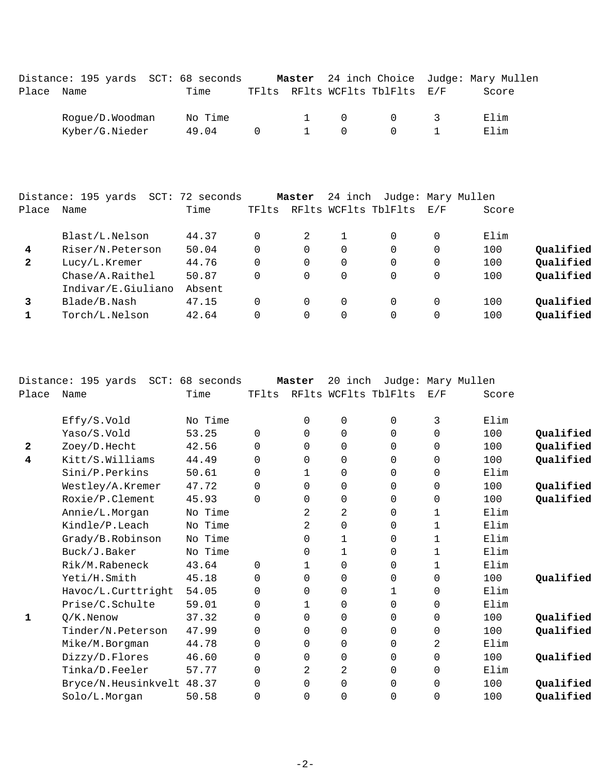| Distance: 195 yards SCT: 68 seconds<br>Place Name | Time             |          |                    | TFlts RFlts WCFlts TblFlts E/F |               | Master 24 inch Choice Judge: Mary Mullen<br>Score |
|---------------------------------------------------|------------------|----------|--------------------|--------------------------------|---------------|---------------------------------------------------|
| Rogue/D.Woodman<br>Kyber/G.Nieder                 | No Time<br>49.04 | $\Omega$ | $\cap$<br>$\Omega$ | - 0                            | $\mathcal{R}$ | Elim<br>Elim                                      |

| Place        | Distance: 195 yards<br>Name | SCT: 72 seconds<br>Time | TFlts    | Master      | 24 inch  | Judge: Mary Mullen<br>RFlts WCFlts TblFlts | $\rm E$ / $\rm F$ | Score |           |
|--------------|-----------------------------|-------------------------|----------|-------------|----------|--------------------------------------------|-------------------|-------|-----------|
|              | Blast/L.Nelson              | 44.37                   | 0        | $2^{\circ}$ |          | $\Omega$                                   | 0                 | Elim  |           |
| 4            | Riser/N.Peterson            | 50.04                   | 0        | 0           | 0        | $\Omega$                                   | 0                 | 100   | Qualified |
| $\mathbf{2}$ | Lucy/L.Kremer               | 44.76                   | 0        |             | $\Omega$ | 0                                          | $\Omega$          | 100   | Qualified |
|              | Chase/A.Raithel             | 50.87                   | 0        |             | $\Omega$ | 0                                          | $\Omega$          | 100   | Qualified |
|              | Indivar/E.Giuliano          | Absent                  |          |             |          |                                            |                   |       |           |
| 3            | Blade/B.Nash                | 47.15                   | $\Omega$ |             | 0        | 0                                          | 0                 | 100   | Qualified |
|              | Torch/L.Nelson              | 42.64                   | 0        |             |          | 0                                          | 0                 | 100   | Qualified |

|              | Distance: 195 yards SCT: 68 seconds |         |          | Master      | 20 inch     |                      |              | Judge: Mary Mullen |           |
|--------------|-------------------------------------|---------|----------|-------------|-------------|----------------------|--------------|--------------------|-----------|
| Place        | Name                                | Time    | TFlts    |             |             | RFlts WCFlts TblFlts | E/F          | Score              |           |
|              | Effy/S.Vold                         | No Time |          | $\Omega$    | 0           | $\Omega$             | 3            | Elim               |           |
|              | Yaso/S.Vold                         | 53.25   | $\Omega$ | 0           | 0           | 0                    | 0            | 100                | Qualified |
| $\mathbf{2}$ | Zoey/D.Hecht                        | 42.56   | $\Omega$ | 0           | 0           | 0                    | $\Omega$     | 100                | Qualified |
| 4            | Kitt/S.Williams                     | 44.49   | 0        | 0           | $\mathbf 0$ | 0                    | 0            | 100                | Qualified |
|              | Sini/P.Perkins                      | 50.61   | $\Omega$ | $\mathbf 1$ | 0           | 0                    | $\Omega$     | Elim               |           |
|              | Westley/A.Kremer                    | 47.72   | 0        | 0           | 0           | 0                    | 0            | 100                | Qualified |
|              | Roxie/P.Clement                     | 45.93   | $\Omega$ | 0           | 0           | 0                    | $\mathbf 0$  | 100                | Qualified |
|              | Annie/L.Morgan                      | No Time |          | 2           | 2           | 0                    | $\mathbf 1$  | Elim               |           |
|              | Kindle/P.Leach                      | No Time |          | 2           | 0           | 0                    | $\mathbf{1}$ | Elim               |           |
|              | Grady/B.Robinson                    | No Time |          | 0           | 1           | 0                    | $\mathbf 1$  | Elim               |           |
|              | Buck/J.Baker                        | No Time |          | 0           | 1           | 0                    | 1            | Elim               |           |
|              | Rik/M.Rabeneck                      | 43.64   | $\Omega$ | 1           | 0           | 0                    | 1            | Elim               |           |
|              | Yeti/H.Smith                        | 45.18   | 0        | $\Omega$    | 0           | 0                    | $\Omega$     | 100                | Qualified |
|              | Havoc/L.Curttright                  | 54.05   | 0        | $\Omega$    | 0           | 1                    | $\mathbf 0$  | Elim               |           |
|              | Prise/C.Schulte                     | 59.01   | 0        | 1           | 0           | 0                    | $\Omega$     | Elim               |           |
| 1            | $Q/K$ . Nenow                       | 37.32   | 0        | $\Omega$    | 0           | 0                    | $\mathbf 0$  | 100                | Qualified |
|              | Tinder/N.Peterson                   | 47.99   | $\Omega$ | $\Omega$    | 0           | 0                    | $\Omega$     | 100                | Qualified |
|              | Mike/M.Borgman                      | 44.78   | $\Omega$ | $\Omega$    | 0           | 0                    | 2            | Elim               |           |
|              | Dizzy/D.Flores                      | 46.60   | $\Omega$ | $\Omega$    | 0           | 0                    | $\Omega$     | 100                | Qualified |
|              | Tinka/D.Feeler                      | 57.77   | $\Omega$ | 2           | 2           | $\Omega$             | $\Omega$     | Elim               |           |
|              | Bryce/N.Heusinkvelt 48.37           |         | $\Omega$ | $\Omega$    | 0           | $\Omega$             | $\Omega$     | 100                | Qualified |
|              | Solo/L.Morgan                       | 50.58   | $\Omega$ | $\Omega$    | 0           | 0                    | $\mathbf 0$  | 100                | Qualified |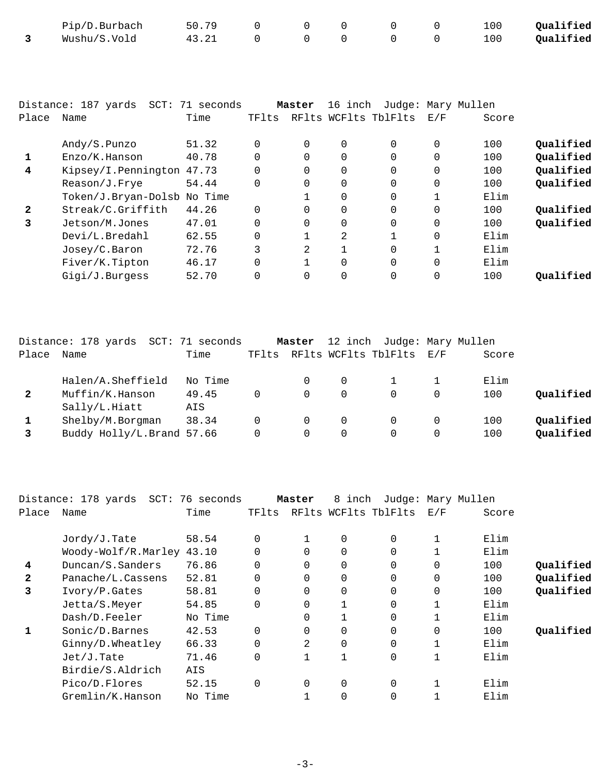| Pip/D.Burbach | 50.79 |  |  | 100 | Qualified |
|---------------|-------|--|--|-----|-----------|
| Wushu/S.Vold  | 43.21 |  |  | 100 | Qualified |

|              | Distance: 187 yards         | SCT: 71 seconds |          | Master   | 16 inch              |          | Judge: Mary Mullen |       |           |
|--------------|-----------------------------|-----------------|----------|----------|----------------------|----------|--------------------|-------|-----------|
| Place        | Name                        | Time            | TFlts    |          | RFlts WCFlts TblFlts |          | E/F                | Score |           |
|              |                             |                 |          |          |                      |          |                    |       |           |
|              | Andy/S.Punzo                | 51.32           | $\Omega$ | $\Omega$ | $\Omega$             | $\Omega$ | $\Omega$           | 100   | Qualified |
|              | Enzo/K.Hanson               | 40.78           |          | $\Omega$ | $\Omega$             | $\Omega$ | $\Omega$           | 100   | Qualified |
| 4            | Kipsey/I.Pennington 47.73   |                 |          | $\Omega$ | $\Omega$             | $\Omega$ | 0                  | 100   | Qualified |
|              | Reason/J.Frye               | 54.44           |          | $\Omega$ | $\Omega$             | $\Omega$ | $\Omega$           | 100   | Qualified |
|              | Token/J.Bryan-Dolsb No Time |                 |          |          | $\Omega$             | $\Omega$ | 1                  | Elim  |           |
| $\mathbf{2}$ | Streak/C.Griffith           | 44.26           |          | 0        | $\Omega$             | $\Omega$ | $\mathbf 0$        | 100   | Oualified |
| 3            | Jetson/M.Jones              | 47.01           |          | $\Omega$ | $\Omega$             | $\Omega$ | $\Omega$           | 100   | Qualified |
|              | Devi/L.Bredahl              | 62.55           |          |          | 2                    |          | $\Omega$           | Elim  |           |
|              | Josey/C.Baron               | 72.76           | 3        | 2        |                      | $\Omega$ | 1                  | Elim  |           |
|              | Fiver/K.Tipton              | 46.17           |          |          | $\Omega$             | $\Omega$ | $\Omega$           | Elim  |           |
|              | Gigi/J.Burgess              | 52.70           |          | $\Omega$ | $\Omega$             | $\Omega$ | $\Omega$           | 100   | Oualified |
|              |                             |                 |          |          |                      |          |                    |       |           |

|              | Distance: 178 yards SCT: 71 seconds |         |       | Master   |          | 12 inch Judge: Mary Mullen |          |       |           |
|--------------|-------------------------------------|---------|-------|----------|----------|----------------------------|----------|-------|-----------|
| Place        | Name                                | Time    | TFlts |          |          | RFlts WCFlts TblFlts E/F   |          | Score |           |
|              | Halen/A.Sheffield                   | No Time |       | 0        | $\Omega$ |                            |          | Elim  |           |
| $\mathbf{2}$ | Muffin/K.Hanson                     | 49.45   |       | $\Omega$ | 0        |                            | $\Omega$ | 100   | Oualified |
|              | Sally/L.Hiatt                       | AIS     |       |          |          |                            |          |       |           |
|              | Shelby/M.Borgman                    | 38.34   |       | 0        | 0        |                            | $\Omega$ | 100   | Qualified |
|              | Buddy Holly/L.Brand 57.66           |         |       | $\Omega$ | 0        |                            | $\Omega$ | 100   | Qualified |

|              | Distance: 178 yards       | SCT: 76 seconds |             | Master         | 8 inch       |                      |             | Judge: Mary Mullen |           |
|--------------|---------------------------|-----------------|-------------|----------------|--------------|----------------------|-------------|--------------------|-----------|
| Place        | Name                      | Time            | TFlts       |                |              | RFlts WCFlts TblFlts | E/F         | Score              |           |
|              | $Jordy/J$ . Tate          | 58.54           | $\Omega$    |                | 0            | $\mathbf 0$          |             | Elim               |           |
|              | Woody-Wolf/R.Marley 43.10 |                 |             | $\Omega$       | $\Omega$     | 0                    |             | Elim               |           |
| 4            | Duncan/S.Sanders          | 76.86           | $\mathbf 0$ | 0              | 0            | 0                    | $\mathbf 0$ | 100                | Qualified |
| $\mathbf{2}$ | Panache/L.Cassens         | 52.81           |             | $\Omega$       | 0            | 0                    | $\mathbf 0$ | 100                | Qualified |
| 3            | Ivory/P.Gates             | 58.81           | $\Omega$    | $\Omega$       | $\Omega$     | 0                    | $\mathbf 0$ | 100                | Qualified |
|              | Jetta/S.Meyer             | 54.85           | $\Omega$    | $\overline{0}$ |              | 0                    |             | Elim               |           |
|              | Dash/D.Feeler             | No Time         |             | $\Omega$       |              | 0                    |             | Elim               |           |
|              | Sonic/D.Barnes            | 42.53           | $\Omega$    | 0              | 0            | $\mathbf 0$          | $\mathbf 0$ | 100                | Qualified |
|              | Ginny/D.Wheatley          | 66.33           |             | $\mathfrak{D}$ | $\Omega$     | $\Omega$             |             | Elim               |           |
|              | Jet/J.Tate                | 71.46           | $\Omega$    |                | $\mathbf{1}$ | 0                    | 1           | Elim               |           |
|              | Birdie/S.Aldrich          | AIS             |             |                |              |                      |             |                    |           |
|              | Pico/D.Flores             | 52.15           | $\Omega$    | $\Omega$       | 0            | 0                    |             | Elim               |           |
|              | Gremlin/K.Hanson          | No Time         |             |                | 0            | 0                    |             | Elim               |           |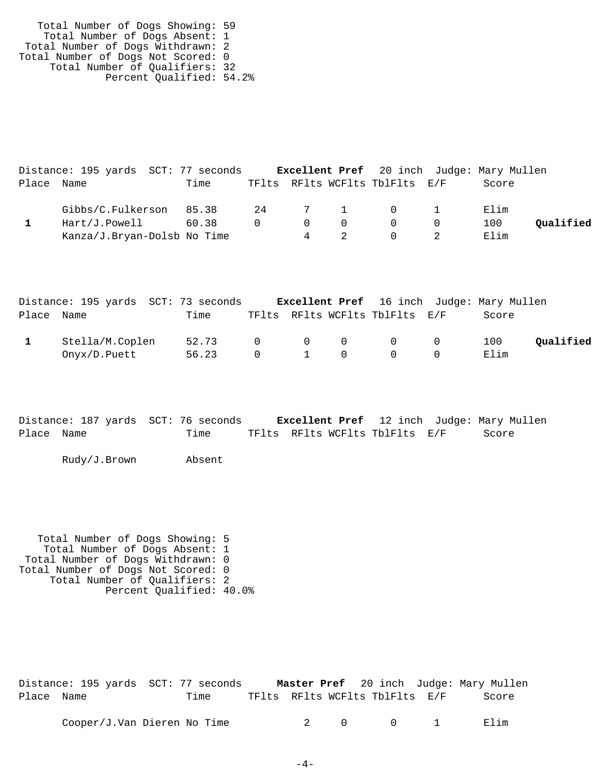Total Number of Dogs Showing: 59 Total Number of Dogs Absent: 1 Total Number of Dogs Withdrawn: 2 Total Number of Dogs Not Scored: 0 Total Number of Qualifiers: 32 Percent Qualified: 54.2%

|            | Distance: 195 yards SCT: 77 seconds |       |          |   |                                 |                                |           | <b>Excellent Pref</b> 20 inch Judge: Mary Mullen |           |
|------------|-------------------------------------|-------|----------|---|---------------------------------|--------------------------------|-----------|--------------------------------------------------|-----------|
| Place Name |                                     | Time  |          |   |                                 | TFlts RFlts WCFlts TblFlts E/F |           | Score                                            |           |
|            | Gibbs/C.Fulkerson 85.38             |       |          |   |                                 | 24 7 1 0 1                     |           | Elim                                             |           |
|            | Hart/J.Powell                       | 60.38 | $\Omega$ |   | $\begin{matrix}0&0\end{matrix}$ | $\overline{0}$                 | $\bigcap$ | 100                                              | Oualified |
|            | Kanza/J.Bryan-Dolsb No Time         |       |          | 4 |                                 | $\cup$                         |           | Elim                                             |           |

|            | Distance: 195 yards SCT: 73 seconds |       |                |     |                                 |                                            | <b>Excellent Pref</b> 16 inch Judge: Mary Mullen |           |
|------------|-------------------------------------|-------|----------------|-----|---------------------------------|--------------------------------------------|--------------------------------------------------|-----------|
| Place Name |                                     | Time  |                |     |                                 | TFlts RFlts WCFlts TblFlts E/F             | Score                                            |           |
|            | Stella/M.Coplen                     | 52.73 | $\bigcap$      |     | $\begin{matrix}0&0\end{matrix}$ | $\begin{array}{ccc} & & & 0 & \end{array}$ | 100                                              | Oualified |
|            | Onyx/D.Puett                        | 56.23 | $\overline{0}$ | 1 0 |                                 | $\overline{0}$                             | Elim                                             |           |

Distance: 187 yards SCT: 76 seconds **Excellent Pref** 12 inch Judge: Mary Mullen Place Name Time TFlts RFlts WCFlts TblFlts E/F Score

Rudy/J.Brown Absent

 Total Number of Dogs Showing: 5 Total Number of Dogs Absent: 1 Total Number of Dogs Withdrawn: 0 Total Number of Dogs Not Scored: 0 Total Number of Qualifiers: 2 Percent Qualified: 40.0%

|            | Distance: 195 yards SCT: 77 seconds |                                |         |  | <b>Master Pref</b> 20 inch Judge: Mary Mullen |
|------------|-------------------------------------|--------------------------------|---------|--|-----------------------------------------------|
| Place Name | Time                                | TFlts RFlts WCFlts TblFlts E/F |         |  | Score                                         |
|            | Cooper/J.Van Dieren No Time         |                                | 2 0 0 1 |  | Filim                                         |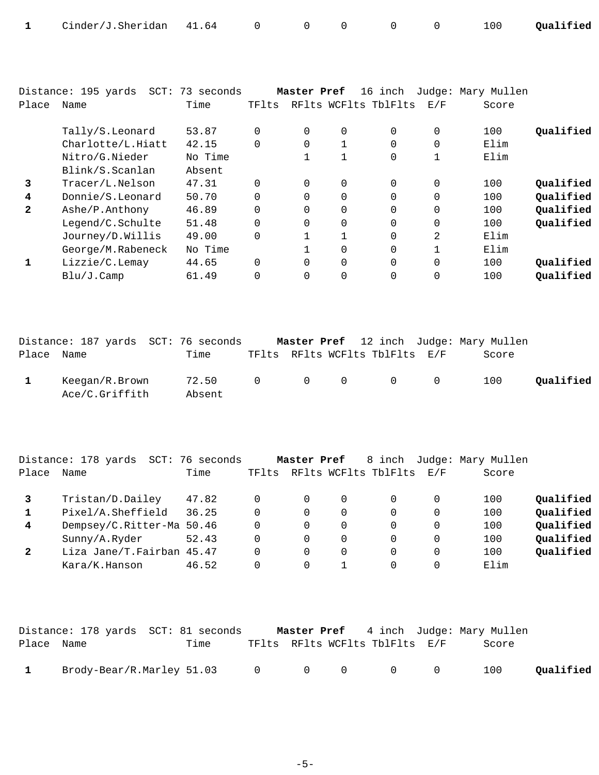|  | Cinder/J.Sheridan 41.64 0 |  |  |  |  |  |  |  | 100 Qualified |
|--|---------------------------|--|--|--|--|--|--|--|---------------|
|--|---------------------------|--|--|--|--|--|--|--|---------------|

|              | Distance: 195 yards | SCT: 73 seconds |          | Master Pref    |              | 16 inch              |                | Judge: Mary Mullen |           |
|--------------|---------------------|-----------------|----------|----------------|--------------|----------------------|----------------|--------------------|-----------|
| Place        | Name                | Time            | TFlts    |                |              | RFlts WCFlts TblFlts | E/F            | Score              |           |
|              |                     |                 |          |                |              |                      |                |                    |           |
|              | Tally/S.Leonard     | 53.87           | $\Omega$ | $\Omega$       | 0            | $\Omega$             | $\overline{0}$ | 100                | Oualified |
|              | Charlotte/L.Hiatt   | 42.15           |          | $\overline{0}$ |              | $\Omega$             | $\mathbf 0$    | Elim               |           |
|              | Nitro/G.Nieder      | No Time         |          |                |              | 0                    |                | Elim               |           |
|              | Blink/S.Scanlan     | Absent          |          |                |              |                      |                |                    |           |
| 3            | Tracer/L.Nelson     | 47.31           | $\Omega$ | $\Omega$       | $\Omega$     | $\Omega$             | $\overline{0}$ | 100                | Qualified |
| 4            | Donnie/S.Leonard    | 50.70           |          | $\Omega$       | $\mathbf 0$  | $\Omega$             | $\mathbf 0$    | 100                | Oualified |
| $\mathbf{2}$ | Ashe/P.Anthony      | 46.89           | $\Omega$ | $\Omega$       | $\Omega$     | $\Omega$             | $\mathbf 0$    | 100                | Qualified |
|              | Legend/C.Schulte    | 51.48           | $\Omega$ | $\Omega$       | $\mathbf 0$  | $\Omega$             | $\mathbf 0$    | 100                | Qualified |
|              | Journey/D.Willis    | 49.00           | $\Omega$ |                | $\mathbf{1}$ | $\Omega$             | 2              | Elim               |           |
|              | George/M.Rabeneck   | No Time         |          |                | 0            | 0                    |                | Elim               |           |
|              | Lizzie/C.Lemay      | 44.65           | $\Omega$ | $\Omega$       | $\Omega$     | $\Omega$             | $\Omega$       | 100                | Qualified |
|              | Blu/J.Camp          | 61.49           |          | $\Omega$       | 0            | 0                    | $\overline{0}$ | 100                | Qualified |

|            | Distance: 187 yards SCT: 76 seconds |                           |  |                                | <b>Master Pref</b> 12 inch Judge: Mary Mullen |           |
|------------|-------------------------------------|---------------------------|--|--------------------------------|-----------------------------------------------|-----------|
| Place Name |                                     | Time                      |  | TFlts RFlts WCFlts TblFlts E/F | Score                                         |           |
|            | Keegan/R.Brown<br>Ace/C.Griffith    | 72.50 0 0 0 0 0<br>Absent |  |                                | 100                                           | Qualified |

|              | Distance: 178 yards<br>SCT: | 76 seconds |       | Master Pref |   | 8 inch               |     | Judge: Mary Mullen |           |
|--------------|-----------------------------|------------|-------|-------------|---|----------------------|-----|--------------------|-----------|
| Place        | Name                        | Time       | TFlts |             |   | RFlts WCFlts TblFlts | E/F | Score              |           |
|              | Tristan/D.Dailey            | 47.82      |       |             | 0 |                      |     | 100                | Qualified |
|              | Pixel/A.Sheffield           | 36.25      | 0     |             | 0 |                      | 0   | 100                | Qualified |
| 4            | Dempsey/C.Ritter-Ma 50.46   |            | 0     |             | 0 |                      | 0   | 100                | Qualified |
|              | Sunny/A.Ryder               | 52.43      | 0     |             | 0 |                      | 0   | 100                | Qualified |
| $\mathbf{2}$ | Liza Jane/T.Fairban 45.47   |            | 0     |             | 0 | 0                    | 0   | 100                | Qualified |
|              | Kara/K.Hanson               | 46.52      |       |             |   |                      |     | Elim               |           |

|              | Distance: 178 yards SCT: 81 seconds   |      |  |                                | <b>Master Pref</b> 4 inch Judge: Mary Mullen |           |
|--------------|---------------------------------------|------|--|--------------------------------|----------------------------------------------|-----------|
| Place Name   |                                       | Time |  | TFlts RFlts WCFlts TblFlts E/F | Score                                        |           |
| $\mathbf{1}$ | Brody-Bear/R.Marley 51.03 0 0 0 0 0 0 |      |  |                                | 100                                          | Qualified |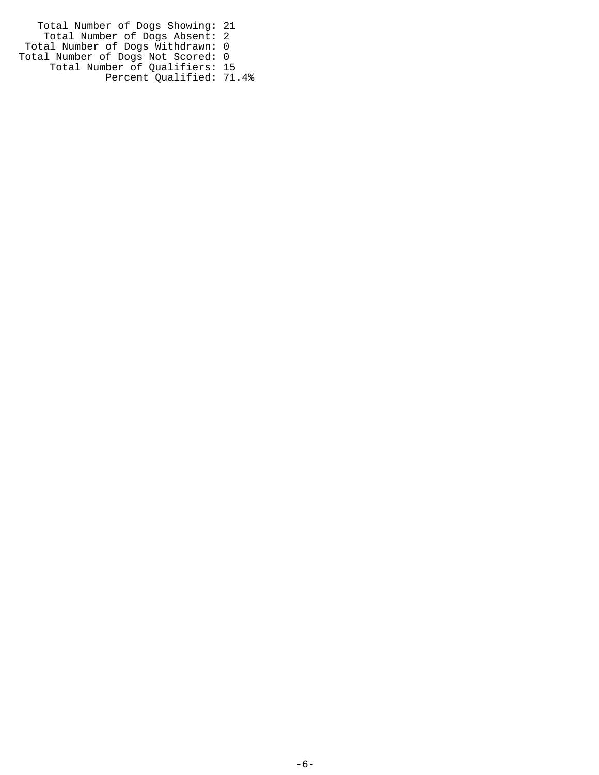Total Number of Dogs Showing: 21 Total Number of Dogs Absent: 2 Total Number of Dogs Withdrawn: 0 Total Number of Dogs Not Scored: 0 Total Number of Qualifiers: 15 Percent Qualified: 71.4%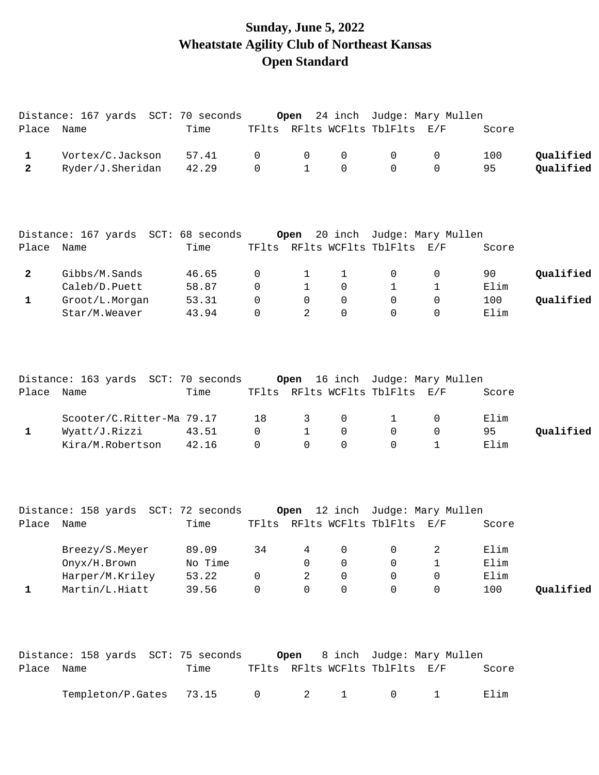## **Sunday, June 5, 2022 Wheatstate Agility Club of Northeast Kansas Open Standard**

|                | Distance: 167 yards SCT: 70 seconds         |                |                  | Open             |                  |                                          | 24 inch Judge: Mary Mullen      |             |           |
|----------------|---------------------------------------------|----------------|------------------|------------------|------------------|------------------------------------------|---------------------------------|-------------|-----------|
| Place Name     |                                             | Time           |                  |                  |                  | TFlts RFlts WCFlts TblFlts E/F           |                                 | Score       |           |
| $\mathbf{1}$   | Vortex/C.Jackson                            | 57.41          | 0                | 0                | 0                | $\mathsf{O}$                             | 0                               | 100         | Qualified |
| $\overline{2}$ | Ryder/J.Sheridan                            | 42.29          | 0                | $\mathbf{1}$     | $\mathbf 0$      | $\Omega$                                 | 0                               | 95          | Qualified |
|                | Distance: 167 yards SCT: 68 seconds         |                |                  | Open             |                  |                                          | 20 inch Judge: Mary Mullen      |             |           |
| Place Name     |                                             | Time           |                  |                  |                  | TFlts RFlts WCFlts TblFlts E/F           |                                 | Score       |           |
| $\mathbf{2}$   | Gibbs/M.Sands<br>Caleb/D.Puett              | 46.65          | 0                | 1                | $\mathbf{1}$     | $\mathsf{O}$                             | 0                               | 90          | Qualified |
| $\mathbf{1}$   | Groot/L.Morgan                              | 58.87<br>53.31 | 0<br>$\mathbf 0$ | 1<br>$\mathbf 0$ | 0<br>$\mathbf 0$ | $\mathbf 1$<br>$\Omega$                  | $\mathbf 1$<br>$\mathbf 0$      | Elim<br>100 | Qualified |
|                | Star/M.Weaver                               | 43.94          | $\Omega$         | 2                | $\Omega$         | $\Omega$                                 | $\Omega$                        | Elim        |           |
|                |                                             |                |                  |                  |                  |                                          |                                 |             |           |
| Place          | Distance: 163 yards SCT: 70 seconds<br>Name | Time           |                  |                  |                  | TFlts RFlts WCFlts TblFlts E/F           | Open 16 inch Judge: Mary Mullen | Score       |           |
|                |                                             |                |                  |                  |                  |                                          |                                 |             |           |
|                | Scooter/C.Ritter-Ma 79.17                   |                | 18               | 3                | 0                | $\mathbf{1}$                             | 0                               | Elim        |           |
| $\mathbf{1}$   | Wyatt/J.Rizzi                               | 43.51          | $\mathbf 0$      | $\mathbf{1}$     | 0                | $\mathsf{O}$                             | 0                               | 95          | Qualified |
|                | Kira/M.Robertson                            | 42.16          | $\Omega$         | $\Omega$         | $\Omega$         | $\Omega$                                 | $\mathbf{1}$                    | Elim        |           |
|                | Distance: 158 yards SCT: 72 seconds         |                |                  |                  |                  |                                          | Open 12 inch Judge: Mary Mullen |             |           |
| Place Name     |                                             | Time           |                  |                  |                  | TFlts RFlts WCFlts TblFlts E/F           |                                 | Score       |           |
|                | Breezy/S.Meyer                              | 89.09          |                  |                  |                  | $34 \qquad 4 \qquad 0 \qquad 0 \qquad 2$ |                                 | Elim        |           |
|                | Onyx/H.Brown                                | No Time        |                  | 0                | 0                | $\Omega$                                 | 1                               | Elim        |           |
|                | Harper/M.Kriley                             | 53.22          | 0                | 2                | 0                | 0                                        | 0                               | Elim        |           |
| $\mathbf 1$    | Martin/L.Hiatt                              | 39.56          | 0                | 0                | $\mathbf 0$      | 0                                        | $\mathbf 0$                     | 100         | Qualified |
|                | Distance: 158 yards SCT: 75 seconds         |                |                  | Open             |                  |                                          | 8 inch Judge: Mary Mullen       |             |           |
| Place Name     |                                             | Time           |                  |                  |                  | TFlts RFlts WCFlts TblFlts E/F           |                                 | Score       |           |

Templeton/P.Gates 73.15 0 2 1 0 1 Elim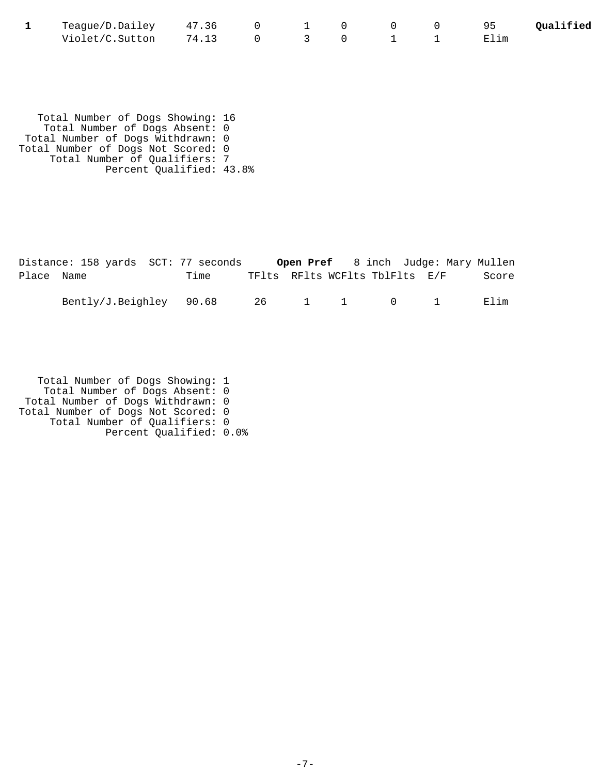| Teague/D.Dailey 47.36 |  |  |  | 95   | Qualified |
|-----------------------|--|--|--|------|-----------|
| Violet/C.Sutton 74.13 |  |  |  | Elim |           |

 Total Number of Dogs Showing: 16 Total Number of Dogs Absent: 0 Total Number of Dogs Withdrawn: 0 Total Number of Dogs Not Scored: 0 Total Number of Qualifiers: 7 Percent Qualified: 43.8%

|            | Distance: 158 yards SCT: 77 seconds |      |  |  | Open Pref 8 inch Judge: Mary Mullen |       |
|------------|-------------------------------------|------|--|--|-------------------------------------|-------|
| Place Name |                                     | Time |  |  | TFlts RFlts WCFlts TblFlts E/F      | Score |
|            | Bently/J.Beighley 90.68 26 1 1 0 1  |      |  |  |                                     | Elim  |

| Total Number of Dogs Showing: 1    |  |
|------------------------------------|--|
| Total Number of Dogs Absent: 0     |  |
| Total Number of Dogs Withdrawn: 0  |  |
| Total Number of Dogs Not Scored: 0 |  |
| Total Number of Qualifiers: 0      |  |
| Percent Qualified: 0.0%            |  |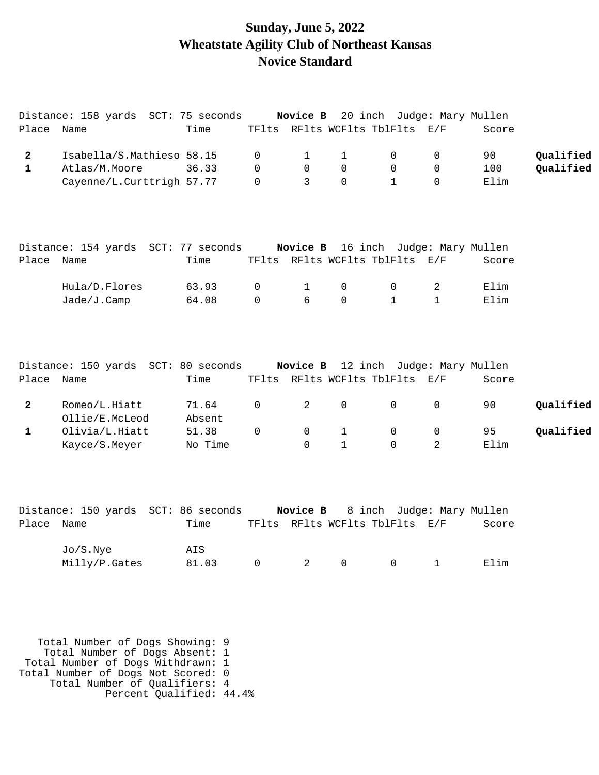#### **Sunday, June 5, 2022 Wheatstate Agility Club of Northeast Kansas Novice Standard**

|              | Distance: 158 yards SCT: 75 seconds |                 |             |          |              |                                | <b>Novice B</b> 20 inch Judge: Mary Mullen |       |           |
|--------------|-------------------------------------|-----------------|-------------|----------|--------------|--------------------------------|--------------------------------------------|-------|-----------|
| Place        | Name                                | Time            |             |          |              | TFlts RFlts WCFlts TblFlts E/F |                                            | Score |           |
| $\mathbf{2}$ | Isabella/S.Mathieso 58.15           |                 | 0           | 1        | 1            | $\mathbf 0$                    | 0                                          | 90    | Qualified |
| $\mathbf{1}$ | Atlas/M.Moore                       | 36.33           | $\Omega$    | 0        | 0            | $\mathbf 0$                    | $\mathbf 0$                                | 100   | Qualified |
|              | Cayenne/L.Curttrigh 57.77           |                 | $\Omega$    | 3        | $\mathsf{O}$ | $\mathbf{1}$                   | $\Omega$                                   | Elim  |           |
| Place Name   | Distance: 154 yards SCT: 77 seconds | Time            |             |          |              | TFlts RFlts WCFlts TblFlts E/F | Novice B 16 inch Judge: Mary Mullen        | Score |           |
|              |                                     |                 |             |          |              |                                |                                            |       |           |
|              | Hula/D.Flores                       | 63.93           | 0           | 1        | $\mathsf{O}$ | $\mathbf 0$                    | 2                                          | Elim  |           |
|              | Jade/J.Camp                         | 64.08           | $\mathbf 0$ | б        | 0            | $\mathbf{1}$                   | $\mathbf 1$                                | Elim  |           |
| Place Name   | Distance: 150 yards SCT: 80 seconds | Time            |             |          |              | TFlts RFlts WCFlts TblFlts E/F | Novice B 12 inch Judge: Mary Mullen        | Score |           |
| $\mathbf{2}$ | Romeo/L.Hiatt<br>Ollie/E.McLeod     | 71.64<br>Absent | 0           | 2        | 0            | $\mathbf 0$                    | $\mathbf 0$                                | 90    | Qualified |
| $\mathbf{1}$ | Olivia/L.Hiatt                      | 51.38           | $\Omega$    | 0        | 1            | $\mathbf 0$                    | 0                                          | 95    | Qualified |
|              | Kayce/S.Meyer                       | No Time         |             | $\Omega$ | $\mathbf{1}$ | $\Omega$                       | 2                                          | Elim  |           |
|              | Distance: 150 yards SCT: 86 seconds |                 |             | Novice B |              |                                | 8 inch Judge: Mary Mullen                  |       |           |
| Place        | Name                                | Time            |             |          |              | TFlts RFlts WCFlts TblFlts E/F |                                            | Score |           |
|              | Jo/S.Nye                            | AIS             |             |          |              |                                |                                            |       |           |
|              | Milly/P.Gates                       | 81.03           | 0           | 2        | 0            | 0                              | 1                                          | Elim  |           |

 Total Number of Dogs Showing: 9 Total Number of Dogs Absent: 1 Total Number of Dogs Withdrawn: 1 Total Number of Dogs Not Scored: 0 Total Number of Qualifiers: 4 Percent Qualified: 44.4%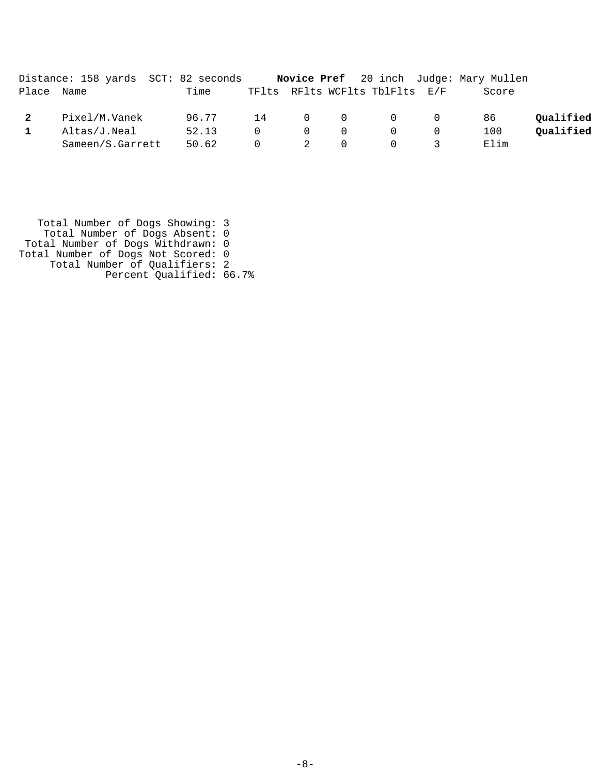|       |                  | Distance: 158 yards SCT: 82 seconds |          |                |          |                                         |                | <b>Novice Pref</b> 20 inch Judge: Mary Mullen |           |
|-------|------------------|-------------------------------------|----------|----------------|----------|-----------------------------------------|----------------|-----------------------------------------------|-----------|
| Place | Name             | Time                                |          |                |          | TFlts RFlts WCFlts TblFlts E/F          |                | Score                                         |           |
|       | Pixel/M.Vanek    | 96.77                               | 14       |                |          | $\begin{matrix} 0 & 0 & 0 \end{matrix}$ | $\overline{0}$ | 86                                            | Oualified |
|       | Altas/J.Neal     | 52.13                               | $\Omega$ | $\Omega$       | 0        | $\Omega$                                |                | 100                                           | Oualified |
|       | Sameen/S.Garrett | 50.62                               | $\Omega$ | $\overline{2}$ | $\Omega$ | $\Omega$                                |                | Elim                                          |           |

 Total Number of Dogs Showing: 3 Total Number of Dogs Absent: 0 Total Number of Dogs Withdrawn: 0 Total Number of Dogs Not Scored: 0 Total Number of Qualifiers: 2 Percent Qualified: 66.7%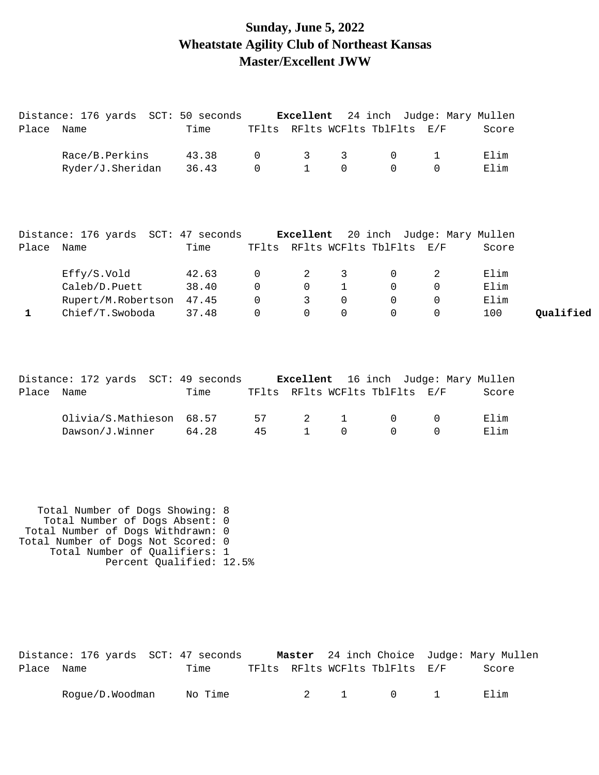#### **Sunday, June 5, 2022 Wheatstate Agility Club of Northeast Kansas Master/Excellent JWW**

|              | Distance: 176 yards SCT: 50 seconds Excellent 24 inch Judge: Mary Mullen |       |              |              |              |                                |              |                                             |           |
|--------------|--------------------------------------------------------------------------|-------|--------------|--------------|--------------|--------------------------------|--------------|---------------------------------------------|-----------|
| Place Name   |                                                                          | Time  |              |              |              | TFlts RFlts WCFlts TblFlts E/F |              | Score                                       |           |
|              | Race/B.Perkins                                                           | 43.38 | $\mathbf 0$  | 3            | 3            | $\overline{0}$                 | $\mathbf{1}$ | Elim                                        |           |
|              | Ryder/J.Sheridan                                                         | 36.43 | $\mathsf{O}$ | $\mathbf{1}$ | $\mathbf 0$  | $\Omega$                       | $\Omega$     | Elim                                        |           |
|              |                                                                          |       |              |              |              |                                |              |                                             |           |
|              | Distance: 176 yards SCT: 47 seconds Excellent 20 inch Judge: Mary Mullen |       |              |              |              |                                |              |                                             |           |
| Place Name   |                                                                          | Time  |              |              |              | TFlts RFlts WCFlts TblFlts E/F |              | Score                                       |           |
|              |                                                                          |       |              |              |              |                                |              |                                             |           |
|              | Effy/S.Vold                                                              | 42.63 | 0            | 2            | 3            | $\overline{0}$                 | 2            | Elim                                        |           |
|              | Caleb/D.Puett                                                            | 38.40 | $\mathsf{O}$ | $\mathsf{O}$ | $\mathbf{1}$ | $\Omega$                       | $\mathbf 0$  | Elim                                        |           |
|              | Rupert/M.Robertson 47.45                                                 |       | 0            | $\mathbf{3}$ | $\mathbf 0$  | $\overline{0}$                 | $\mathbf 0$  | Elim                                        |           |
| $\mathbf{1}$ | Chief/T.Swoboda                                                          | 37.48 | $\mathbf 0$  | $\Omega$     | $\Omega$     | $\Omega$                       | $\Omega$     | 100                                         | Qualified |
|              |                                                                          |       |              |              |              |                                |              |                                             |           |
|              |                                                                          |       |              |              |              |                                |              |                                             |           |
|              | Distance: 172 yards SCT: 49 seconds                                      |       |              |              |              |                                |              | <b>Excellent</b> 16 inch Judge: Mary Mullen |           |

| Place Name                            | Time |  | TFlts RFlts WCFlts TblFlts E/F | Score |
|---------------------------------------|------|--|--------------------------------|-------|
| $Olivia/S.Mathieson$ 68.57 57 2 1 0 0 |      |  |                                | Filim |
| $Dawson/J.Winner$ 64.28 45 1 0 0 0    |      |  |                                | Elim  |

 Total Number of Dogs Showing: 8 Total Number of Dogs Absent: 0 Total Number of Dogs Withdrawn: 0 Total Number of Dogs Not Scored: 0 Total Number of Qualifiers: 1 Percent Qualified: 12.5%

|            | Distance: 176 yards SCT: 47 seconds |         |  |                                | <b>Master</b> 24 inch Choice Judge: Mary Mullen |
|------------|-------------------------------------|---------|--|--------------------------------|-------------------------------------------------|
| Place Name |                                     | Time    |  | TFlts RFlts WCFlts TblFlts E/F | Score                                           |
|            | Rogue/D.Woodman                     | No Time |  | 2 1 0 1                        | Elim                                            |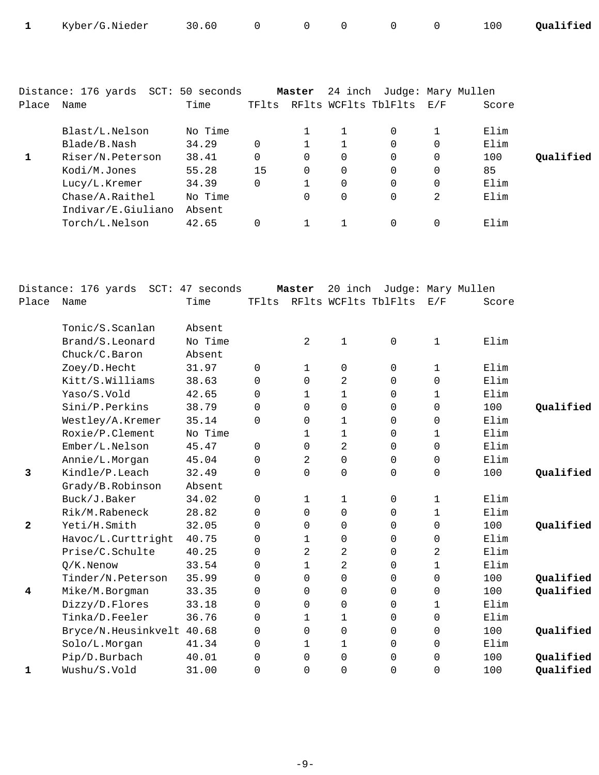| 1            | Kyber/G.Nieder                      | 30.60   | $\mathbf 0$         | 0            | 0                   | 0                          | 0                   | 100   | Qualified |
|--------------|-------------------------------------|---------|---------------------|--------------|---------------------|----------------------------|---------------------|-------|-----------|
|              |                                     |         |                     |              |                     |                            |                     |       |           |
|              | Distance: 176 yards SCT: 50 seconds |         |                     | Master       |                     | 24 inch Judge: Mary Mullen |                     |       |           |
| Place        | Name                                | Time    |                     |              |                     | TFlts RFlts WCFlts TblFlts | E/F                 | Score |           |
|              | Blast/L.Nelson                      | No Time |                     | 1            | 1                   | 0                          | 1                   | Elim  |           |
|              | Blade/B.Nash                        | 34.29   | $\mathbf 0$         | 1            | 1                   | 0                          | 0                   | Elim  |           |
| 1            | Riser/N.Peterson                    | 38.41   | $\Omega$            | $\Omega$     | $\Omega$            | $\Omega$                   | 0                   | 100   | Qualified |
|              | Kodi/M.Jones                        | 55.28   | 15                  | $\Omega$     | 0                   | $\Omega$                   | 0                   | 85    |           |
|              | Lucy/L.Kremer                       | 34.39   | $\mathbf 0$         | $\mathbf{1}$ | 0                   | 0                          | 0                   | Elim  |           |
|              | Chase/A.Raithel                     | No Time |                     | $\Omega$     | 0                   | 0                          | 2                   | Elim  |           |
|              | Indivar/E.Giuliano                  | Absent  |                     |              |                     |                            |                     |       |           |
|              | Torch/L.Nelson                      | 42.65   | 0                   | 1            | 1                   | 0                          | 0                   | Elim  |           |
|              |                                     |         |                     |              |                     |                            |                     |       |           |
|              | Distance: 176 yards SCT: 47 seconds |         |                     | Master       |                     | 20 inch Judge: Mary Mullen |                     |       |           |
| Place        | Name                                | Time    |                     |              |                     | TFlts RFlts WCFlts TblFlts | E/F                 | Score |           |
|              |                                     |         |                     |              |                     |                            |                     |       |           |
|              | Tonic/S.Scanlan                     | Absent  |                     |              |                     |                            |                     |       |           |
|              | Brand/S.Leonard                     | No Time |                     | 2            | 1                   | 0                          | 1                   | Elim  |           |
|              | Chuck/C.Baron                       | Absent  |                     |              |                     |                            |                     |       |           |
|              | Zoey/D.Hecht                        | 31.97   | 0                   | 1            | 0                   | 0                          | 1                   | Elim  |           |
|              | Kitt/S.Williams                     | 38.63   | 0                   | 0            | 2                   | $\Omega$                   | 0                   | Elim  |           |
|              | Yaso/S.Vold                         | 42.65   | $\mathbf 0$         | 1            | 1                   | 0                          | 1                   | Elim  |           |
|              | Sini/P.Perkins                      | 38.79   | $\mathbf 0$         | 0            | 0                   | 0                          | 0                   | 100   | Qualified |
|              | Westley/A.Kremer                    | 35.14   | $\mathbf 0$         | $\Omega$     | 1                   | $\Omega$                   | 0                   | Elim  |           |
|              | Roxie/P.Clement                     | No Time |                     | 1            | 1                   | $\Omega$                   | 1                   | Elim  |           |
|              | Ember/L.Nelson                      | 45.47   | 0                   | 0            | 2                   | 0                          | 0                   | Elim  |           |
|              | Annie/L.Morgan                      | 45.04   | $\mathsf{O}$        | 2            | $\mathsf{O}\xspace$ | $\mathsf{O}$               | $\mathsf{O}$        | Elim  |           |
| 3            | Kindle/P.Leach                      | 32.49   | 0                   | $\mathbf 0$  | 0                   | 0                          | 0                   | 100   | Qualified |
|              | Grady/B.Robinson                    | Absent  |                     |              |                     |                            |                     |       |           |
|              | Buck/J.Baker                        | 34.02   | 0                   | 1            | 1                   | 0                          | 1                   | Elim  |           |
|              | Rik/M.Rabeneck                      | 28.82   | $\mathbf 0$         | $\mathbf 0$  | 0                   | 0                          | $\mathbf 1$         | Elim  |           |
| $\mathbf{2}$ | Yeti/H.Smith                        | 32.05   | $\mathbf 0$         | 0            | 0                   | 0                          | 0                   | 100   | Qualified |
|              | Havoc/L.Curttright                  | 40.75   | 0                   | $\mathbf{1}$ | 0                   | 0                          | 0                   | Elim  |           |
|              | Prise/C.Schulte                     | 40.25   | $\mathbf 0$         | 2            | 2                   | 0                          | 2                   | Elim  |           |
|              | $Q/K$ . Nenow                       | 33.54   | $\mathbf 0$         | 1            | 2                   | 0                          | 1                   | Elim  |           |
|              | Tinder/N.Peterson                   | 35.99   | $\mathbf 0$         | $\mathbf 0$  | $\mathsf{O}\xspace$ | 0                          | 0                   | 100   | Qualified |
| 4            | Mike/M.Borgman                      | 33.35   | 0                   | $\Omega$     | 0                   | 0                          | 0                   | 100   | Qualified |
|              | Dizzy/D.Flores                      | 33.18   | $\mathbf 0$         | $\Omega$     | 0                   | 0                          | 1                   | Elim  |           |
|              | Tinka/D.Feeler                      | 36.76   | $\mathsf{O}\xspace$ | $\mathbf{1}$ | 1                   | 0                          | $\mathbf 0$         | Elim  |           |
|              | Bryce/N.Heusinkvelt 40.68           |         | 0                   | $\mathbf 0$  | 0                   | 0                          | $\mathbf 0$         | 100   | Qualified |
|              | Solo/L.Morgan                       | 41.34   | 0                   | $\mathbf{1}$ | 1                   | 0                          | 0                   | Elim  |           |
|              | Pip/D.Burbach                       | 40.01   | 0                   | $\Omega$     | 0                   | 0                          | 0                   | 100   | Qualified |
| $\mathbf 1$  | Wushu/S.Vold                        | 31.00   | 0                   | $\mathbf 0$  | $\mathsf{O}\xspace$ | 0                          | $\mathsf{O}\xspace$ | 100   | Qualified |

-9-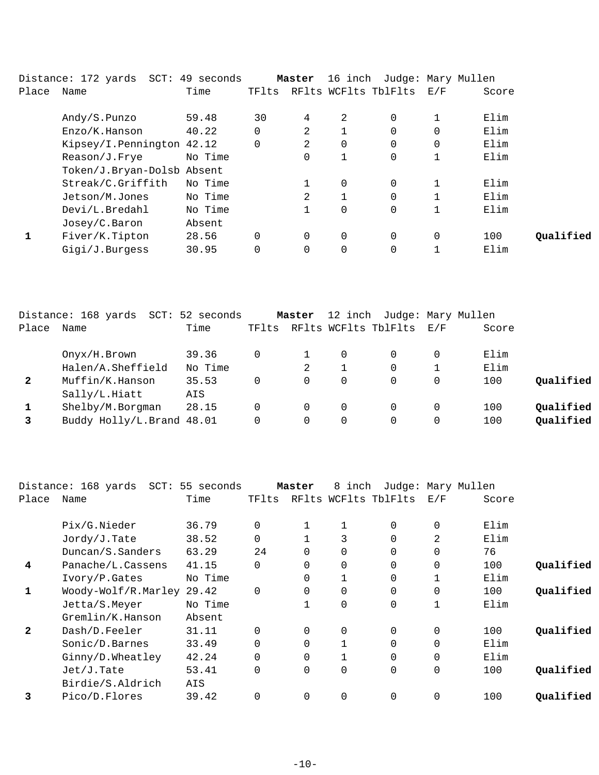|       | Distance: 172 yards SCT: 49 seconds |         |          | Master         | 16 inch  |                      |                   | Judge: Mary Mullen |           |
|-------|-------------------------------------|---------|----------|----------------|----------|----------------------|-------------------|--------------------|-----------|
| Place | Name                                | Time    | TFlts    |                |          | RFlts WCFlts TblFlts | $\rm E$ / $\rm F$ | Score              |           |
|       | Andy/S.Punzo                        | 59.48   | 30       | 4              | 2        | $\Omega$             |                   | Elim               |           |
|       | Enzo/K.Hanson                       | 40.22   | 0        | 2              |          | 0                    | 0                 | Elim               |           |
|       | Kipsey/I.Pennington 42.12           |         | 0        | 2              | 0        | 0                    | 0                 | Elim               |           |
|       | Reason/J.Frye                       | No Time |          | $\Omega$       |          | 0                    |                   | Elim               |           |
|       | Token/J.Bryan-Dolsb Absent          |         |          |                |          |                      |                   |                    |           |
|       | Streak/C.Griffith                   | No Time |          |                | 0        | $\Omega$             |                   | Elim               |           |
|       | Jetson/M.Jones                      | No Time |          | $\mathfrak{D}$ |          |                      |                   | Elim               |           |
|       | Devi/L.Bredahl                      | No Time |          |                | 0        | $\Omega$             |                   | Elim               |           |
|       | Josey/C.Baron                       | Absent  |          |                |          |                      |                   |                    |           |
|       | Fiver/K.Tipton                      | 28.56   | $\Omega$ | $\Omega$       | $\Omega$ | $\Omega$             | $\Omega$          | 100                | Oualified |
|       | Gigi/J.Burgess                      | 30.95   | $\Omega$ | 0              | $\Omega$ | 0                    |                   | Elim               |           |

|              | Distance: 168 yards SCT: 52 seconds |         |       | Master |   | 12 inch Judge: Mary Mullen |                   |       |           |
|--------------|-------------------------------------|---------|-------|--------|---|----------------------------|-------------------|-------|-----------|
| Place        | Name                                | Time    | TFlts |        |   | RFlts WCFlts TblFlts       | $\rm E$ / $\rm F$ | Score |           |
|              | Onyx/H.Brown                        | 39.36   | 0     |        | 0 |                            | 0                 | Elim  |           |
|              | Halen/A.Sheffield                   | No Time |       | 2      |   |                            |                   | Elim  |           |
| $\mathbf{2}$ | Muffin/K.Hanson                     | 35.53   | 0     | 0      | 0 | 0                          | $\Omega$          | 100   | Qualified |
|              | Sally/L.Hiatt                       | AIS     |       |        |   |                            |                   |       |           |
|              | Shelby/M.Borgman                    | 28.15   | 0     | 0      | 0 |                            | $\Omega$          | 100   | Qualified |
|              | Buddy Holly/L.Brand 48.01           |         |       |        | 0 |                            | 0                 | 100   | Qualified |

|              | Distance: 168 yards  SCT: 55 seconds |         |             | Master   | 8 inch               |          |             | Judge: Mary Mullen |           |
|--------------|--------------------------------------|---------|-------------|----------|----------------------|----------|-------------|--------------------|-----------|
| Place        | Name                                 | Time    | TFlts       |          | RFlts WCFlts TblFlts |          | E/F         | Score              |           |
|              | Pix/G.Nieder                         | 36.79   |             | 1        |                      | $\Omega$ | 0           | Elim               |           |
|              | Jordy/J.Tate                         | 38.52   | $\Omega$    |          | 3                    | $\Omega$ | 2           | Elim               |           |
|              | Duncan/S.Sanders                     | 63.29   | 24          | $\Omega$ | $\Omega$             | $\Omega$ | $\Omega$    | 76                 |           |
| 4            | Panache/L.Cassens                    | 41.15   | $\Omega$    | $\Omega$ | $\Omega$             | $\Omega$ | $\Omega$    | 100                | Qualified |
|              | Ivory/P.Gates                        | No Time |             | 0        |                      | $\Omega$ | 1           | Elim               |           |
| 1            | Woody-Wolf/R.Marley 29.42            |         | $\mathbf 0$ | $\Omega$ | $\mathbf 0$          | 0        | $\mathbf 0$ | 100                | Qualified |
|              | Jetta/S.Meyer                        | No Time |             |          | $\mathbf 0$          | 0        | 1           | Elim               |           |
|              | Gremlin/K.Hanson                     | Absent  |             |          |                      |          |             |                    |           |
| $\mathbf{2}$ | Dash/D.Feeler                        | 31.11   | $\Omega$    | $\Omega$ | 0                    | $\Omega$ | 0           | 100                | Qualified |
|              | Sonic/D.Barnes                       | 33.49   |             | $\Omega$ |                      | $\Omega$ | $\mathbf 0$ | Elim               |           |
|              | Ginny/D.Wheatley                     | 42.24   |             | $\Omega$ |                      | 0        | $\mathbf 0$ | Elim               |           |
|              | $Jet/J$ . Tate                       | 53.41   | $\Omega$    | $\Omega$ | $\Omega$             | $\Omega$ | $\Omega$    | 100                | Oualified |
|              | Birdie/S.Aldrich                     | AIS     |             |          |                      |          |             |                    |           |
| 3            | Pico/D.Flores                        | 39.42   |             | $\Omega$ | 0                    | $\Omega$ | $\Omega$    | 100                | Qualified |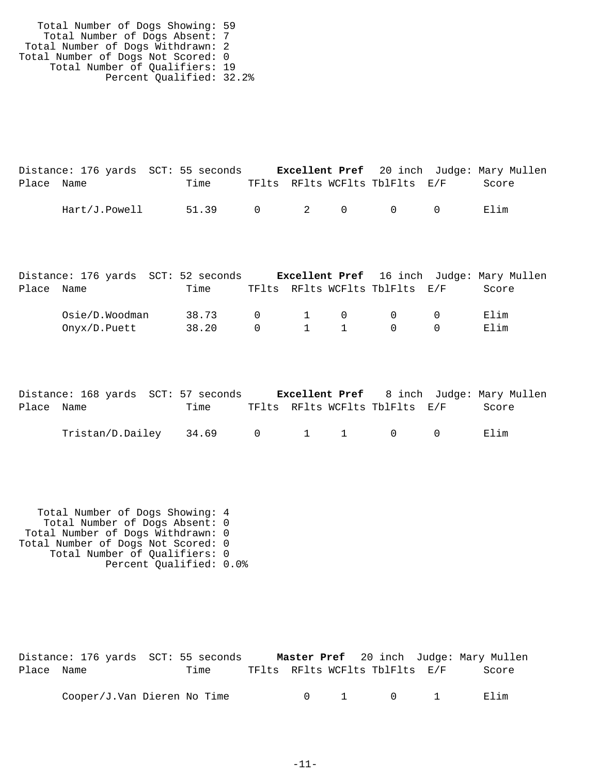| Total Number of Dogs Showing: 59   |  |
|------------------------------------|--|
| Total Number of Dogs Absent: 7     |  |
| Total Number of Dogs Withdrawn: 2  |  |
| Total Number of Dogs Not Scored: 0 |  |
| Total Number of Qualifiers: 19     |  |
| Percent Qualified: 32.2%           |  |

|            | Distance: 176 yards SCT: 55 seconds |                 |  |                                | <b>Excellent Pref</b> 20 inch Judge: Mary Mullen |
|------------|-------------------------------------|-----------------|--|--------------------------------|--------------------------------------------------|
| Place Name |                                     | Time            |  | TFlts RFlts WCFlts TblFlts E/F | Score                                            |
|            | Hart/J.Powell                       | 51.39 0 2 0 0 0 |  |                                | Elim                                             |

|            | Distance: 176 yards SCT: 52 seconds |       |           |     |                                             |          | <b>Excellent Pref</b> 16 inch Judge: Mary Mullen |
|------------|-------------------------------------|-------|-----------|-----|---------------------------------------------|----------|--------------------------------------------------|
| Place Name |                                     | Time  |           |     | TFlts RFlts WCFlts TblFlts E/F              |          | Score                                            |
|            | Osie/D.Woodman                      | 38.73 |           |     | $\begin{matrix} 0 & 1 & 0 & 0 \end{matrix}$ | $\cap$   | Elim                                             |
|            | Onyx/D.Puett                        | 38.20 | $\bigcap$ | 1 1 | $\cap$                                      | $\Omega$ | Elim                                             |

|            | Distance: 168 yards SCT: 57 seconds |      |  |                                | <b>Excellent Pref</b> 8 inch Judge: Mary Mullen |
|------------|-------------------------------------|------|--|--------------------------------|-------------------------------------------------|
| Place Name |                                     | Time |  | TFlts RFlts WCFlts TblFlts E/F | Score                                           |
|            | $Tristan/D.Dailey$ 34.69 0 1 1 0 0  |      |  |                                | Elim                                            |

 Total Number of Dogs Showing: 4 Total Number of Dogs Absent: 0 Total Number of Dogs Withdrawn: 0 Total Number of Dogs Not Scored: 0 Total Number of Qualifiers: 0 Percent Qualified: 0.0%

|            | Distance: 176 yards SCT: 55 seconds |                                |                                              | <b>Master Pref</b> 20 inch Judge: Mary Mullen |
|------------|-------------------------------------|--------------------------------|----------------------------------------------|-----------------------------------------------|
| Place Name | Time                                | TFlts RFlts WCFlts TblFlts E/F |                                              | Score                                         |
|            | Cooper/J.Van Dieren No Time         |                                | $0 \qquad 1 \qquad \qquad 0 \qquad \qquad 1$ | Elim                                          |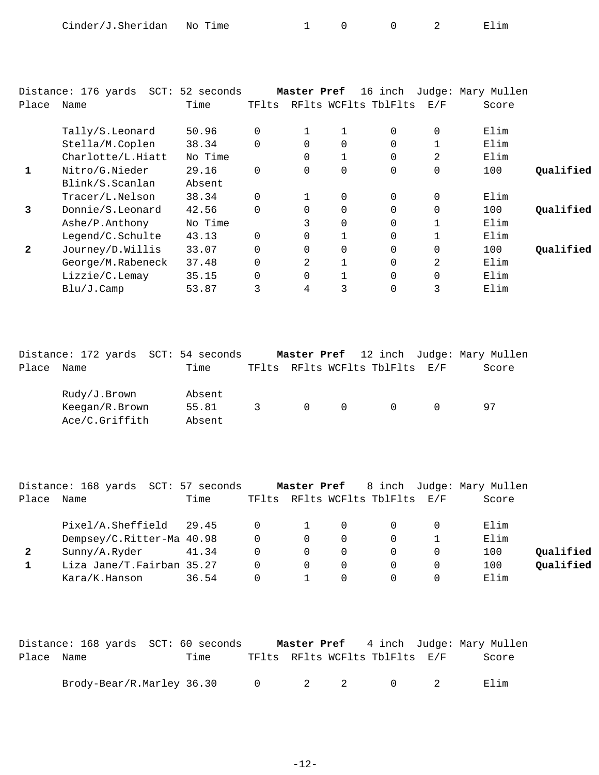| Cinder/J.Sheridan | No Time<br>$\sim$ |  |  | ım<br>н. |
|-------------------|-------------------|--|--|----------|
|-------------------|-------------------|--|--|----------|

|              | Distance: 176 yards<br>SCT: | 52 seconds |          | Master Pref    |   | 16 inch              |             | Judge: Mary Mullen |           |
|--------------|-----------------------------|------------|----------|----------------|---|----------------------|-------------|--------------------|-----------|
| Place        | Name                        | Time       | TFlts    |                |   | RFlts WCFlts TblFlts | E/F         | Score              |           |
|              | Tally/S.Leonard             | 50.96      | $\Omega$ | $\mathbf{1}$   |   | $\Omega$             | 0           | Elim               |           |
|              | Stella/M.Coplen             | 38.34      | $\Omega$ | $\Omega$       | 0 | $\Omega$             |             | Elim               |           |
|              | Charlotte/L.Hiatt           | No Time    |          | $\overline{0}$ |   | $\mathbf 0$          | 2           | Elim               |           |
| 1            | Nitro/G.Nieder              | 29.16      | $\Omega$ | $\Omega$       | 0 | $\mathbf 0$          | $\mathbf 0$ | 100                | Qualified |
|              | Blink/S.Scanlan             | Absent     |          |                |   |                      |             |                    |           |
|              | Tracer/L.Nelson             | 38.34      | $\Omega$ |                | 0 | $\Omega$             | $\mathbf 0$ | Elim               |           |
| 3            | Donnie/S.Leonard            | 42.56      | $\Omega$ | $\Omega$       | 0 | $\Omega$             | $\mathbf 0$ | 100                | Qualified |
|              | Ashe/P.Anthony              | No Time    |          | 3              | 0 | $\Omega$             |             | Elim               |           |
|              | Legend/C.Schulte            | 43.13      | $\Omega$ | $\Omega$       |   | $\Omega$             |             | Elim               |           |
| $\mathbf{2}$ | Journey/D.Willis            | 33.07      | $\Omega$ | $\Omega$       | 0 | $\Omega$             | $\Omega$    | 100                | Oualified |
|              | George/M.Rabeneck           | 37.48      | $\Omega$ | 2              |   | $\Omega$             | 2           | Elim               |           |
|              | Lizzie/C.Lemay              | 35.15      | $\Omega$ | $\Omega$       |   | $\Omega$             | $\mathbf 0$ | Elim               |           |
|              | Blu/J.Camp                  | 53.87      | 3        | 4              | 3 | $\mathbf 0$          | 3           | Elim               |           |

|       | Distance: 172 yards SCT: 54 seconds |        |  |                    |                                |                          | <b>Master Pref</b> 12 inch Judge: Mary Mullen |
|-------|-------------------------------------|--------|--|--------------------|--------------------------------|--------------------------|-----------------------------------------------|
| Place | Name                                | Time   |  |                    | TFlts RFlts WCFlts TblFlts E/F |                          | Score                                         |
|       | Rudy/J.Brown                        | Absent |  |                    |                                |                          |                                               |
|       | Keegan/R.Brown                      | 55.81  |  | $\overline{3}$ 0 0 | $\bigcap$                      | $\overline{\phantom{a}}$ | 97                                            |
|       | Ace/C.Griffith                      | Absent |  |                    |                                |                          |                                               |

|       | Distance: 168 yards SCT: 57 seconds |       |          | Master Pref |          |                                |   | 8 inch Judge: Mary Mullen |           |
|-------|-------------------------------------|-------|----------|-------------|----------|--------------------------------|---|---------------------------|-----------|
| Place | Name                                | Time  |          |             |          | TFlts RFlts WCFlts TblFlts E/F |   | Score                     |           |
|       | Pixel/A.Sheffield 29.45             |       | $\Omega$ |             |          | $\Omega$                       |   | Elim                      |           |
|       | Dempsey/C.Ritter-Ma 40.98           |       | $\Omega$ | $\Omega$    | $\Omega$ | $\Omega$                       |   | Elim                      |           |
| 2     | Sunny/A.Ryder                       | 41.34 | $\Omega$ | 0           | $\Omega$ | $\Omega$                       | 0 | 100                       | Oualified |
|       | Liza Jane/T.Fairban 35.27           |       | $\Omega$ | 0           | 0        | $\Omega$                       |   | 100                       | Qualified |
|       | Kara/K.Hanson                       | 36.54 |          |             |          |                                |   | Elim                      |           |

|            | Distance: 168 yards SCT: 60 seconds |      |  |                                         | <b>Master Pref</b> 4 inch Judge: Mary Mullen |
|------------|-------------------------------------|------|--|-----------------------------------------|----------------------------------------------|
| Place Name |                                     | Time |  | TFlts RFlts WCFlts TblFlts E/F          | Score                                        |
|            | Brody-Bear/R.Marley 36.30           |      |  | $0 \qquad 2 \qquad 2 \qquad 0 \qquad 2$ | Elim                                         |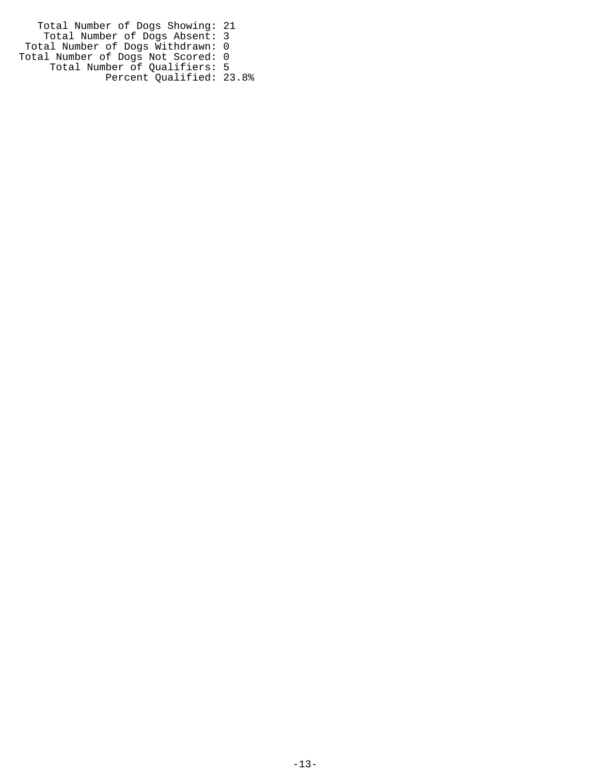Total Number of Dogs Showing: 21 Total Number of Dogs Absent: 3 Total Number of Dogs Withdrawn: 0 Total Number of Dogs Not Scored: 0 Total Number of Qualifiers: 5 Percent Qualified: 23.8%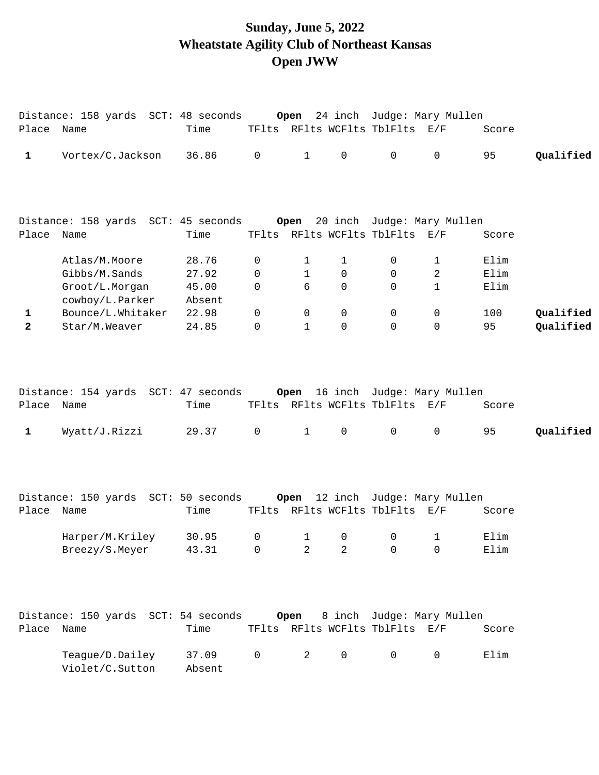# **Sunday, June 5, 2022 Wheatstate Agility Club of Northeast Kansas Open JWW**

| Place Name   | Distance: 158 yards SCT: 48 seconds Open 24 inch Judge: Mary Mullen | Time                    |             |                        |              | TFlts RFlts WCFlts TblFlts E/F                                    |                       | Score                |           |
|--------------|---------------------------------------------------------------------|-------------------------|-------------|------------------------|--------------|-------------------------------------------------------------------|-----------------------|----------------------|-----------|
| 1            | Vortex/C.Jackson                                                    | 36.86                   | 0           | $\mathbf{1}$           | $\mathbf 0$  | $\mathsf{O}$                                                      | $\mathsf{O}$          | 95                   | Qualified |
|              | Distance: 158 yards SCT: 45 seconds                                 |                         |             |                        |              | Open 20 inch Judge: Mary Mullen                                   |                       |                      |           |
| Place Name   |                                                                     | Time                    |             |                        |              | TFlts RFlts WCFlts TblFlts E/F                                    |                       | Score                |           |
|              | Atlas/M.Moore<br>Gibbs/M.Sands<br>Groot/L.Morgan                    | 28.76<br>27.92<br>45.00 | 0<br>0<br>0 | 1<br>$\mathbf{1}$<br>6 | 1<br>0<br>0  | 0<br>0<br>$\mathbf 0$                                             | 1<br>2<br>$\mathbf 1$ | Elim<br>Elim<br>Elim |           |
| 1            | cowboy/L.Parker<br>Bounce/L.Whitaker                                | Absent<br>22.98         | $\mathbf 0$ | 0                      | 0            | $\mathbf 0$                                                       | 0                     | 100                  | Qualified |
| $\mathbf{2}$ | Star/M.Weaver                                                       | 24.85                   | $\mathbf 0$ | $\mathbf{1}$           | 0            | $\Omega$                                                          | $\mathbf 0$           | 95                   | Qualified |
| Place Name   | Distance: 154 yards SCT: 47 seconds Open 16 inch Judge: Mary Mullen | Time                    |             | $\mathbf{1}$           |              | TFlts RFlts WCFlts TblFlts E/F<br>$\mathsf{O}$                    | $\mathbf 0$           | Score                | Qualified |
| $\mathbf 1$  | Wyatt/J.Rizzi                                                       | 29.37                   | 0           |                        | $\mathsf{O}$ |                                                                   |                       | 95                   |           |
| Place Name   | Distance: 150 yards SCT: 50 seconds                                 | Time                    |             |                        |              | Open 12 inch Judge: Mary Mullen<br>TFlts RFlts WCFlts TblFlts E/F |                       | Score                |           |
|              |                                                                     |                         |             |                        |              |                                                                   |                       |                      |           |
|              | Harper/M.Kriley<br>Breezy/S.Meyer                                   | 30.95<br>43.31          | 0<br>0      | $\mathbf{1}$<br>2      | 0<br>2       | 0<br>$\mathbf 0$                                                  | 1<br>$\mathbf 0$      | Elim<br>Elim         |           |
| Place Name   | Distance: 150 yards SCT: 54 seconds                                 | Time                    |             | Open                   |              | 8 inch Judge: Mary Mullen<br>TFlts RFlts WCFlts TblFlts E/F       |                       | Score                |           |
|              | Teague/D.Dailey<br>Violet/C.Sutton                                  | 37.09<br>Absent         | 0           | 2                      | $\mathsf{O}$ | $\mathbf 0$                                                       | 0                     | Elim                 |           |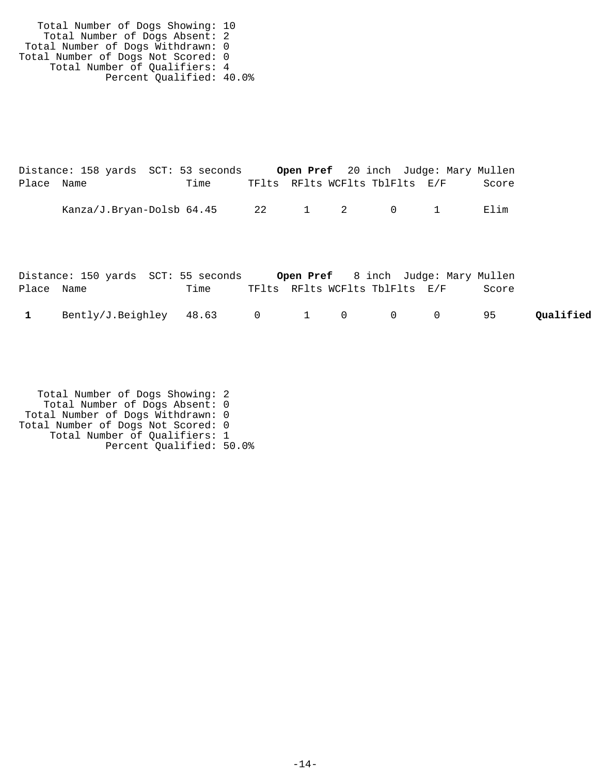Total Number of Dogs Showing: 10 Total Number of Dogs Absent: 2 Total Number of Dogs Withdrawn: 0 Total Number of Dogs Not Scored: 0 Total Number of Qualifiers: 4 Percent Qualified: 40.0%

|            | Distance: 158 yards SCT: 53 seconds |      |                                |  |  | <b>Open Pref</b> 20 inch Judge: Mary Mullen |
|------------|-------------------------------------|------|--------------------------------|--|--|---------------------------------------------|
| Place Name |                                     | Time | TFlts RFlts WCFlts TblFlts E/F |  |  | Score                                       |
|            |                                     |      |                                |  |  |                                             |
|            | Kanza/J.Bryan-Dolsb 64.45           |      | 22 1 2 0 1                     |  |  | Elim                                        |

|              | Distance: 150 yards SCT: 55 seconds Open Pref 8 inch Judge: Mary Mullen |      |                                |  |  |       |           |
|--------------|-------------------------------------------------------------------------|------|--------------------------------|--|--|-------|-----------|
| Place Name   |                                                                         | Time | TFlts RFlts WCFlts TblFlts E/F |  |  | Score |           |
| $\mathbf{1}$ | Bently/J.Beighley $48.63$ 0 1 0 0 0 95                                  |      |                                |  |  |       | Qualified |

 Total Number of Dogs Showing: 2 Total Number of Dogs Absent: 0 Total Number of Dogs Withdrawn: 0 Total Number of Dogs Not Scored: 0 Total Number of Qualifiers: 1 Percent Qualified: 50.0%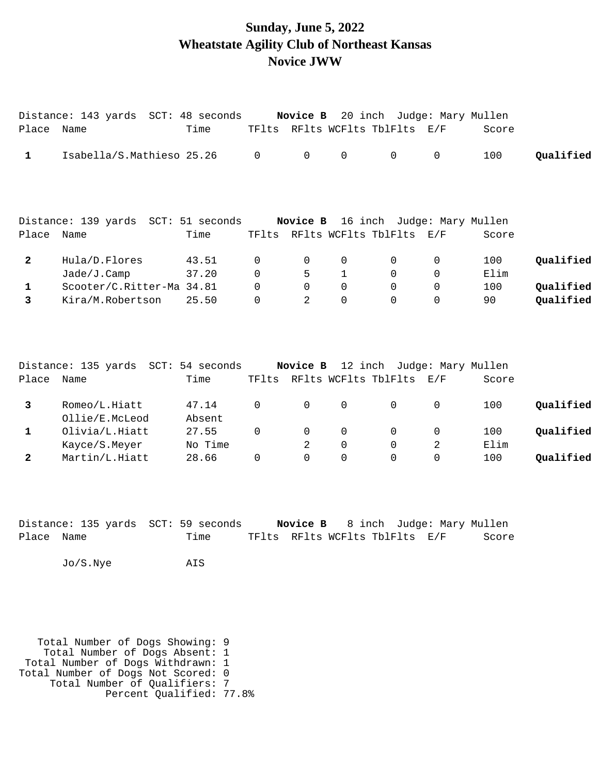#### **Sunday, June 5, 2022 Wheatstate Agility Club of Northeast Kansas Novice JWW**

| Place Name     | Distance: 143 yards SCT: 48 seconds Novice B 20 inch Judge: Mary Mullen | Time            |                |             | TFlts RFlts WCFlts TblFlts E/F |             |             | Score |           |
|----------------|-------------------------------------------------------------------------|-----------------|----------------|-------------|--------------------------------|-------------|-------------|-------|-----------|
| $\mathbf{1}$   | Isabella/S.Mathieso 25.26                                               |                 | $\Omega$       | $\Omega$    | $\mathbf 0$                    | $\mathbf 0$ | $\mathbf 0$ | 100   | Qualified |
| Place Name     | Distance: 139 yards SCT: 51 seconds Novice B 16 inch Judge: Mary Mullen | Time            |                |             | TFlts RFlts WCFlts TblFlts E/F |             |             | Score |           |
|                |                                                                         |                 |                |             |                                |             |             |       |           |
| $\mathbf{2}$   | Hula/D.Flores                                                           | 43.51           | 0              | 0           | 0                              | $\Omega$    | 0           | 100   | Qualified |
|                | Jade/J.Camp                                                             | 37.20           | $\Omega$       | 5           | $\mathbf{1}$                   | $\Omega$    | 0           | Elim  |           |
| 1              | Scooter/C.Ritter-Ma 34.81                                               |                 | $\Omega$       | $\Omega$    | $\Omega$                       | $\Omega$    | $\mathbf 0$ | 100   | Qualified |
| $\overline{3}$ | Kira/M.Robertson                                                        | 25.50           | 0              | 2           | $\mathbf 0$                    | 0           | 0           | 90    | Qualified |
|                |                                                                         |                 |                |             |                                |             |             |       |           |
|                | Distance: 135 yards SCT: 54 seconds Novice B 12 inch Judge: Mary Mullen |                 |                |             |                                |             |             |       |           |
| Place          | Name                                                                    | Time            |                |             | TFlts RFlts WCFlts TblFlts E/F |             |             | Score |           |
| 3              | Romeo/L.Hiatt<br>Ollie/E.McLeod                                         | 47.14<br>Absent | $\overline{0}$ | $\mathbf 0$ | $\mathbf 0$                    | 0           | 0           | 100   | Qualified |

| Olivia/L.Hiatt | 27.55   |  |  | 100  | Oualified |
|----------------|---------|--|--|------|-----------|
| Kayce/S.Meyer  | No Time |  |  | Elim |           |
| Martin/L.Hiatt | 28.66   |  |  | 100  | Oualified |

|            | Distance: 135 yards SCT: 59 seconds |                                | <b>Novice B</b> 8 inch Judge: Mary Mullen |       |
|------------|-------------------------------------|--------------------------------|-------------------------------------------|-------|
| Place Name | Time                                | TFlts RFlts WCFlts TblFlts E/F |                                           | Score |

Jo/S.Nye AIS

 Total Number of Dogs Showing: 9 Total Number of Dogs Absent: 1 Total Number of Dogs Withdrawn: 1 Total Number of Dogs Not Scored: 0 Total Number of Qualifiers: 7 Percent Qualified: 77.8%